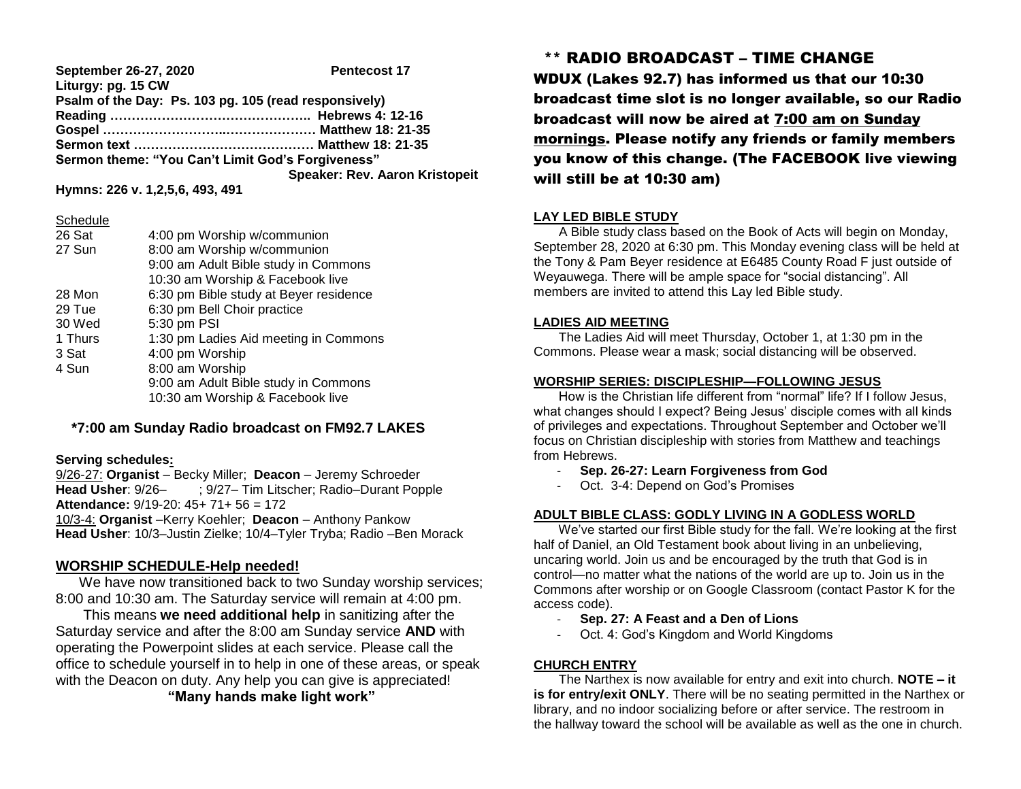| September 26-27, 2020                                 | <b>Pentecost 17</b>                   |
|-------------------------------------------------------|---------------------------------------|
| Liturgy: pg. 15 CW                                    |                                       |
| Psalm of the Day: Ps. 103 pg. 105 (read responsively) |                                       |
|                                                       |                                       |
|                                                       |                                       |
|                                                       |                                       |
| Sermon theme: "You Can't Limit God's Forgiveness"     |                                       |
|                                                       | <b>Speaker: Rev. Aaron Kristopeit</b> |
| Hymns: 226 v. 1,2,5,6, 493, 491                       |                                       |

#### **Schedule**

| 26 Sat  | 4:00 pm Worship w/communion            |
|---------|----------------------------------------|
| 27 Sun  | 8:00 am Worship w/communion            |
|         | 9:00 am Adult Bible study in Commons   |
|         | 10:30 am Worship & Facebook live       |
| 28 Mon  | 6:30 pm Bible study at Beyer residence |
| 29 Tue  | 6:30 pm Bell Choir practice            |
| 30 Wed  | 5:30 pm PSI                            |
| 1 Thurs | 1:30 pm Ladies Aid meeting in Commons  |
| 3 Sat   | 4:00 pm Worship                        |
| 4 Sun   | 8:00 am Worship                        |
|         | 9:00 am Adult Bible study in Commons   |
|         | 10:30 am Worship & Facebook live       |
|         |                                        |

# **\*7:00 am Sunday Radio broadcast on FM92.7 LAKES**

#### **Serving schedules:**

9/26-27: **Organist** – Becky Miller; **Deacon** – Jeremy Schroeder **Head Usher**: 9/26– ; 9/27– Tim Litscher; Radio–Durant Popple **Attendance:** 9/19-20: 45+ 71+ 56 = 172 10/3-4: **Organist** –Kerry Koehler; **Deacon** – Anthony Pankow **Head Usher**: 10/3–Justin Zielke; 10/4–Tyler Tryba; Radio –Ben Morack

## **WORSHIP SCHEDULE-Help needed!**

 We have now transitioned back to two Sunday worship services; 8:00 and 10:30 am. The Saturday service will remain at 4:00 pm.

 This means **we need additional help** in sanitizing after the Saturday service and after the 8:00 am Sunday service **AND** with operating the Powerpoint slides at each service. Please call the office to schedule yourself in to help in one of these areas, or speak with the Deacon on duty. Any help you can give is appreciated! **"Many hands make light work"**

# \*\* RADIO BROADCAST – TIME CHANGE

WDUX (Lakes 92.7) has informed us that our 10:30 broadcast time slot is no longer available, so our Radio broadcast will now be aired at 7:00 am on Sunday mornings. Please notify any friends or family members you know of this change. (The FACEBOOK live viewing will still be at 10:30 am)

## **LAY LED BIBLE STUDY**

 A Bible study class based on the Book of Acts will begin on Monday, September 28, 2020 at 6:30 pm. This Monday evening class will be held at the Tony & Pam Beyer residence at E6485 County Road F just outside of Weyauwega. There will be ample space for "social distancing". All members are invited to attend this Lay led Bible study.

## **LADIES AID MEETING**

 The Ladies Aid will meet Thursday, October 1, at 1:30 pm in the Commons. Please wear a mask; social distancing will be observed.

## **WORSHIP SERIES: DISCIPLESHIP—FOLLOWING JESUS**

How is the Christian life different from "normal" life? If I follow Jesus, what changes should I expect? Being Jesus' disciple comes with all kinds of privileges and expectations. Throughout September and October we'll focus on Christian discipleship with stories from Matthew and teachings from Hebrews.

- **Sep. 26-27: Learn Forgiveness from God**
- Oct. 3-4: Depend on God's Promises

## **ADULT BIBLE CLASS: GODLY LIVING IN A GODLESS WORLD**

 We've started our first Bible study for the fall. We're looking at the first half of Daniel, an Old Testament book about living in an unbelieving, uncaring world. Join us and be encouraged by the truth that God is in control—no matter what the nations of the world are up to. Join us in the Commons after worship or on Google Classroom (contact Pastor K for the access code).

- **Sep. 27: A Feast and a Den of Lions**
- Oct. 4: God's Kingdom and World Kingdoms

## **CHURCH ENTRY**

 The Narthex is now available for entry and exit into church. **NOTE – it is for entry/exit ONLY**. There will be no seating permitted in the Narthex or library, and no indoor socializing before or after service. The restroom in the hallway toward the school will be available as well as the one in church.